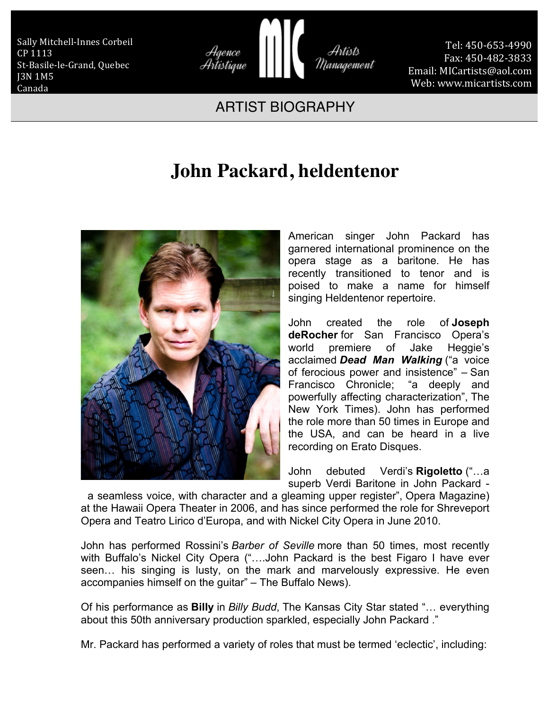Sally Mitchell-Innes Corbeil CP 1113 St-Basile-le-Grand, Quebec J3N 1M5 Canada



Tel: 450-653-4990 Fax: 450-482-3833 Email: MICartists@aol.com Web: www.micartists.com

## ARTIST BIOGRAPHY

## **John Packard, heldentenor**



American singer John Packard has garnered international prominence on the opera stage as a baritone. He has recently transitioned to tenor and is poised to make a name for himself singing Heldentenor repertoire.

John created the role of **Joseph deRocher** for San Francisco Opera's world premiere of Jake Heggie's acclaimed *Dead Man Walking* ("a voice of ferocious power and insistence" – San Francisco Chronicle; "a deeply and powerfully affecting characterization", The New York Times). John has performed the role more than 50 times in Europe and the USA, and can be heard in a live recording on Erato Disques.

John debuted Verdi's **Rigoletto** ("…a superb Verdi Baritone in John Packard -

a seamless voice, with character and a gleaming upper register", Opera Magazine) at the Hawaii Opera Theater in 2006, and has since performed the role for Shreveport Opera and Teatro Lirico d'Europa, and with Nickel City Opera in June 2010.

John has performed Rossini's *Barber of Seville* more than 50 times, most recently with Buffalo's Nickel City Opera ("....John Packard is the best Figaro I have ever seen… his singing is lusty, on the mark and marvelously expressive. He even accompanies himself on the guitar" – The Buffalo News).

Of his performance as **Billy** in *Billy Budd*, The Kansas City Star stated "… everything about this 50th anniversary production sparkled, especially John Packard ."

Mr. Packard has performed a variety of roles that must be termed 'eclectic', including: